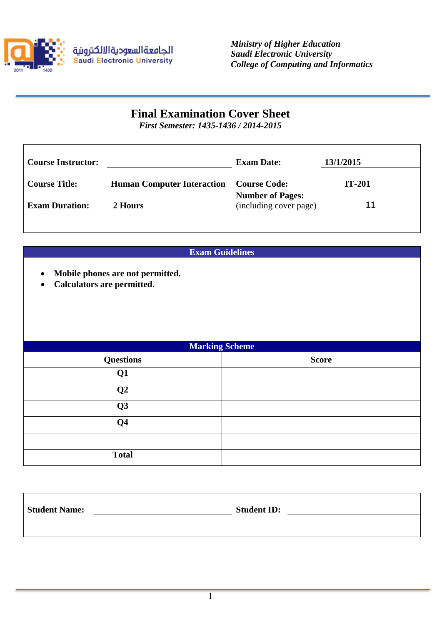

# **Final Examination Cover Sheet**

*First Semester: 1435-1436 / 2014-2015*

| <b>Course Instructor:</b> |                                   | <b>Exam Date:</b>                                 | 13/1/2015 |
|---------------------------|-----------------------------------|---------------------------------------------------|-----------|
| <b>Course Title:</b>      | <b>Human Computer Interaction</b> | <b>Course Code:</b>                               | IT-201    |
| <b>Exam Duration:</b>     | 2 Hours                           | <b>Number of Pages:</b><br>(including cover page) | 11        |
|                           |                                   |                                                   |           |

# **Exam Guidelines**

- **Mobile phones are not permitted.**
- **Calculators are permitted.**

| <b>Marking Scheme</b> |              |  |  |  |
|-----------------------|--------------|--|--|--|
| <b>Questions</b>      | <b>Score</b> |  |  |  |
| Q1                    |              |  |  |  |
| Q <sub>2</sub>        |              |  |  |  |
| Q <sub>3</sub>        |              |  |  |  |
| Q <sub>4</sub>        |              |  |  |  |
|                       |              |  |  |  |
| <b>Total</b>          |              |  |  |  |

| <b>Student Name:</b> | <b>Student ID:</b> |
|----------------------|--------------------|
|                      |                    |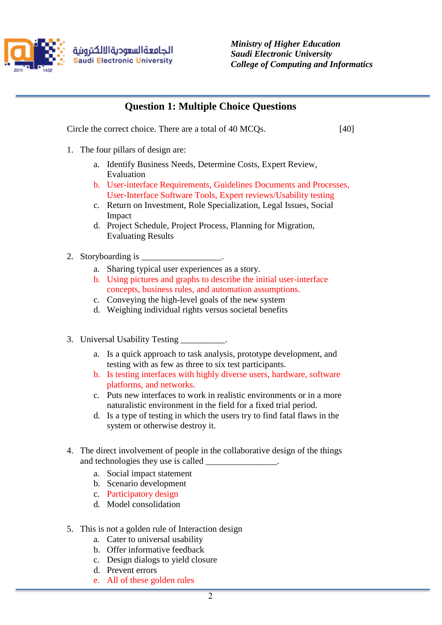

*Ministry of Higher Education Saudi Electronic University College of Computing and Informatics*

# **Question 1: Multiple Choice Questions** Circle the correct choice. There are a total of 40 MCQs. [40] 1. The four pillars of design are: a. Identify Business Needs, Determine Costs, Expert Review, Evaluation b. User-interface Requirements, Guidelines Documents and Processes, User-Interface Software Tools, Expert reviews/Usability testing c. Return on Investment, Role Specialization, Legal Issues, Social Impact d. Project Schedule, Project Process, Planning for Migration, Evaluating Results 2. Storyboarding is \_\_\_\_\_\_\_\_\_\_\_\_\_\_\_\_\_\_. a. Sharing typical user experiences as a story. b. Using pictures and graphs to describe the initial user-interface

- concepts, business rules, and automation assumptions.
- c. Conveying the high-level goals of the new system
- d. Weighing individual rights versus societal benefits
- 3. Universal Usability Testing
	- a. Is a quick approach to task analysis, prototype development, and testing with as few as three to six test participants.
	- b. Is testing interfaces with highly diverse users, hardware, software platforms, and networks.
	- c. Puts new interfaces to work in realistic environments or in a more naturalistic environment in the field for a fixed trial period.
	- d. Is a type of testing in which the users try to find fatal flaws in the system or otherwise destroy it.
- 4. The direct involvement of people in the collaborative design of the things and technologies they use is called \_\_\_\_\_\_\_\_\_\_\_\_\_\_\_\_.
	- a. Social impact statement
	- b. Scenario development
	- c. Participatory design
	- d. Model consolidation
- 5. This is not a golden rule of Interaction design
	- a. Cater to universal usability
	- b. Offer informative feedback
	- c. Design dialogs to yield closure
	- d. Prevent errors
	- e. All of these golden rules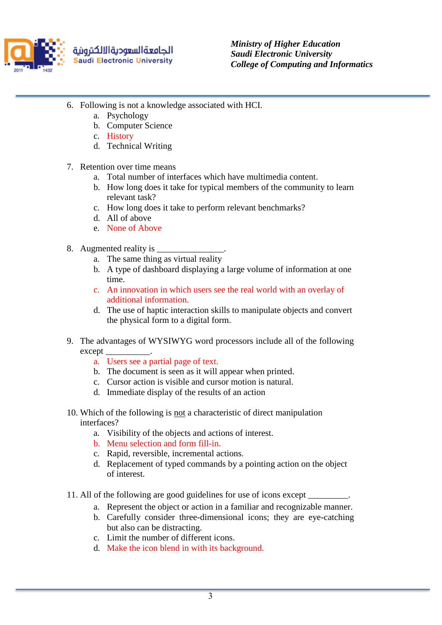

*Ministry of Higher Education Saudi Electronic University College of Computing and Informatics*

- 6. Following is not a knowledge associated with HCI.
	- a. Psychology

الجامعةالسعوديةالالكترونية **Saudi Electronic University** 

- b. Computer Science
- c. History
- d. Technical Writing
- 7. Retention over time means
	- a. Total number of interfaces which have multimedia content.
	- b. How long does it take for typical members of the community to learn relevant task?
	- c. How long does it take to perform relevant benchmarks?
	- d. All of above
	- e. None of Above
- 8. Augmented reality is  $\overline{\phantom{a}}$ 
	- a. The same thing as virtual reality
	- b. A type of dashboard displaying a large volume of information at one time.
	- c. An innovation in which users see the real world with an overlay of additional information.
	- d. The use of haptic interaction skills to manipulate objects and convert the physical form to a digital form.
- 9. The advantages of WYSIWYG word processors include all of the following except \_\_\_\_\_\_\_\_\_\_.
	- a. Users see a partial page of text.
	- b. The document is seen as it will appear when printed.
	- c. Cursor action is visible and cursor motion is natural.
	- d. Immediate display of the results of an action
- 10. Which of the following is not a characteristic of direct manipulation interfaces?
	- a. Visibility of the objects and actions of interest.
	- b. Menu selection and form fill-in.
	- c. Rapid, reversible, incremental actions.
	- d. Replacement of typed commands by a pointing action on the object of interest.
- 11. All of the following are good guidelines for use of icons except \_\_\_\_\_\_\_\_\_.
	- a. Represent the object or action in a familiar and recognizable manner.
	- b. Carefully consider three-dimensional icons; they are eye-catching but also can be distracting.
	- c. Limit the number of different icons.
	- d. Make the icon blend in with its background.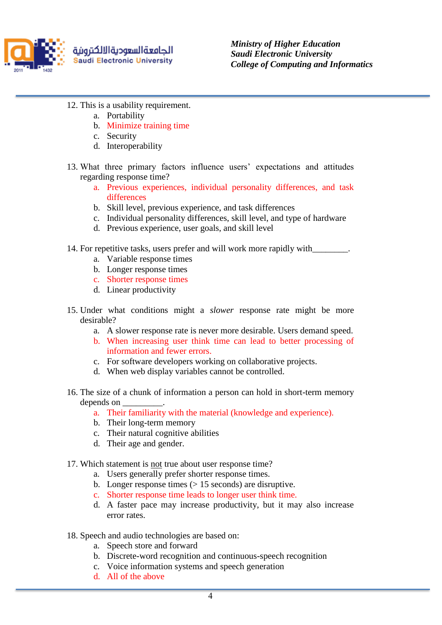

*Ministry of Higher Education Saudi Electronic University College of Computing and Informatics*

- 12. This is a usability requirement.
	- a. Portability
	- b. Minimize training time
	- c. Security
	- d. Interoperability
- 13. What three primary factors influence users' expectations and attitudes regarding response time?
	- a. Previous experiences, individual personality differences, and task differences
	- b. Skill level, previous experience, and task differences
	- c. Individual personality differences, skill level, and type of hardware
	- d. Previous experience, user goals, and skill level
- 14. For repetitive tasks, users prefer and will work more rapidly with
	- a. Variable response times
	- b. Longer response times
	- c. Shorter response times
	- d. Linear productivity
- 15. Under what conditions might a *slower* response rate might be more desirable?
	- a. A slower response rate is never more desirable. Users demand speed.
	- b. When increasing user think time can lead to better processing of information and fewer errors.
	- c. For software developers working on collaborative projects.
	- d. When web display variables cannot be controlled.
- 16. The size of a chunk of information a person can hold in short-term memory depends on \_\_\_\_\_\_\_\_\_.
	- a. Their familiarity with the material (knowledge and experience).
	- b. Their long-term memory
	- c. Their natural cognitive abilities
	- d. Their age and gender.
- 17. Which statement is not true about user response time?
	- a. Users generally prefer shorter response times.
	- b. Longer response times  $($  > 15 seconds) are disruptive.
	- c. Shorter response time leads to longer user think time.
	- d. A faster pace may increase productivity, but it may also increase error rates.
- 18. Speech and audio technologies are based on:
	- a. Speech store and forward
	- b. Discrete-word recognition and continuous-speech recognition
	- c. Voice information systems and speech generation
	- d. All of the above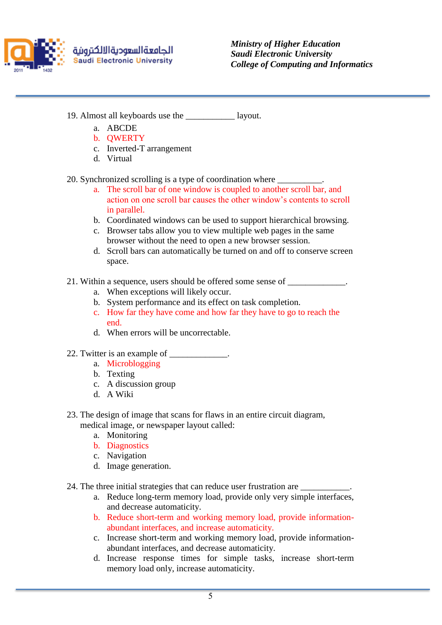

*Ministry of Higher Education Saudi Electronic University College of Computing and Informatics*

- 19. Almost all keyboards use the \_\_\_\_\_\_\_\_\_\_\_ layout.
	- a. ABCDE

الجامعةالسعوديةالالكترونية **Saudi Electronic University** 

- b. QWERTY
- c. Inverted-T arrangement
- d. Virtual

20. Synchronized scrolling is a type of coordination where

- a. The scroll bar of one window is coupled to another scroll bar, and action on one scroll bar causes the other window's contents to scroll in parallel.
- b. Coordinated windows can be used to support hierarchical browsing.
- c. Browser tabs allow you to view multiple web pages in the same browser without the need to open a new browser session.
- d. Scroll bars can automatically be turned on and off to conserve screen space.
- 21. Within a sequence, users should be offered some sense of  $\blacksquare$ 
	- a. When exceptions will likely occur.
	- b. System performance and its effect on task completion.
	- c. How far they have come and how far they have to go to reach the end.
	- d. When errors will be uncorrectable.
- 22. Twitter is an example of \_\_\_\_\_\_\_\_\_\_\_.
	- a. Microblogging
	- b. Texting
	- c. A discussion group
	- d. A Wiki
- 23. The design of image that scans for flaws in an entire circuit diagram, medical image, or newspaper layout called:
	- a. Monitoring
	- b. Diagnostics
	- c. Navigation
	- d. Image generation.
- 24. The three initial strategies that can reduce user frustration are \_\_\_\_\_\_\_\_\_\_\_.
	- a. Reduce long-term memory load, provide only very simple interfaces, and decrease automaticity.
	- b. Reduce short-term and working memory load, provide informationabundant interfaces, and increase automaticity.
	- c. Increase short-term and working memory load, provide informationabundant interfaces, and decrease automaticity.
	- d. Increase response times for simple tasks, increase short-term memory load only, increase automaticity.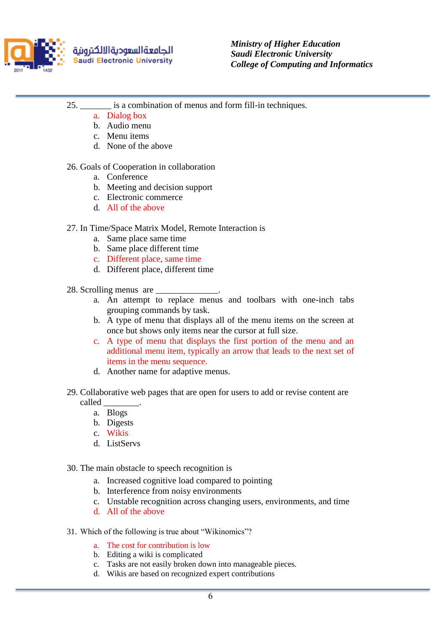

- 25. \_\_\_\_\_\_\_ is a combination of menus and form fill-in techniques.
	- a. Dialog box
	- b. Audio menu
	- c. Menu items
	- d. None of the above

# 26. Goals of Cooperation in collaboration

- a. Conference
- b. Meeting and decision support
- c. Electronic commerce
- d. All of the above

## 27. In Time/Space Matrix Model, Remote Interaction is

- a. Same place same time
- b. Same place different time
- c. Different place, same time
- d. Different place, different time
- 28. Scrolling menus are \_\_\_\_\_\_\_\_\_\_\_\_\_\_.
	- a. An attempt to replace menus and toolbars with one-inch tabs grouping commands by task.
	- b. A type of menu that displays all of the menu items on the screen at once but shows only items near the cursor at full size.
	- c. A type of menu that displays the first portion of the menu and an additional menu item, typically an arrow that leads to the next set of items in the menu sequence.
	- d. Another name for adaptive menus.
- 29. Collaborative web pages that are open for users to add or revise content are called \_\_\_\_\_\_\_\_.
	- a. Blogs
	- b. Digests
	- c. Wikis
	- d. ListServs
- 30. The main obstacle to speech recognition is
	- a. Increased cognitive load compared to pointing
	- b. Interference from noisy environments
	- c. Unstable recognition across changing users, environments, and time
	- d. All of the above
- 31. Which of the following is true about "Wikinomics"?
	- a. The cost for contribution is low
	- b. Editing a wiki is complicated
	- c. Tasks are not easily broken down into manageable pieces.
	- d. Wikis are based on recognized expert contributions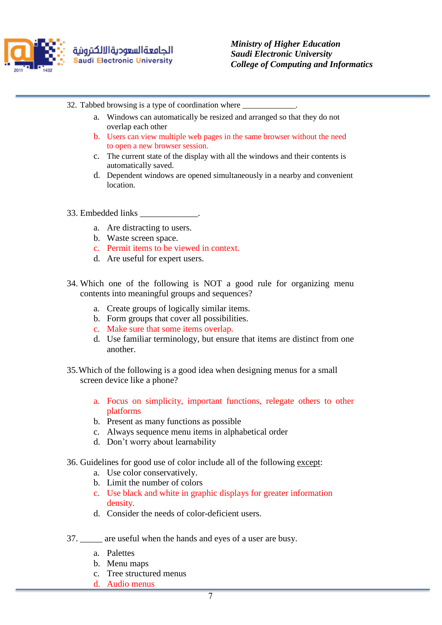

- 32. Tabbed browsing is a type of coordination where  $\equiv$ 
	- a. Windows can automatically be resized and arranged so that they do not overlap each other
	- b. Users can view multiple web pages in the same browser without the need to open a new browser session.
	- c. The current state of the display with all the windows and their contents is automatically saved.
	- d. Dependent windows are opened simultaneously in a nearby and convenient **location**
- 33. Embedded links \_\_\_\_\_\_\_\_\_\_\_\_\_.
	- a. Are distracting to users.
	- b. Waste screen space.
	- c. Permit items to be viewed in context.
	- d. Are useful for expert users.
- 34. Which one of the following is NOT a good rule for organizing menu contents into meaningful groups and sequences?
	- a. Create groups of logically similar items.
	- b. Form groups that cover all possibilities.
	- c. Make sure that some items overlap.
	- d. Use familiar terminology, but ensure that items are distinct from one another.
- 35.Which of the following is a good idea when designing menus for a small screen device like a phone?
	- a. Focus on simplicity, important functions, relegate others to other platforms
	- b. Present as many functions as possible
	- c. Always sequence menu items in alphabetical order
	- d. Don't worry about learnability
- 36. Guidelines for good use of color include all of the following except:
	- a. Use color conservatively.
	- b. Limit the number of colors
	- c. Use black and white in graphic displays for greater information density.
	- d. Consider the needs of color-deficient users.
- 37. \_\_\_\_\_ are useful when the hands and eyes of a user are busy.
	- a. Palettes
	- b. Menu maps
	- c. Tree structured menus
	- d. Audio menus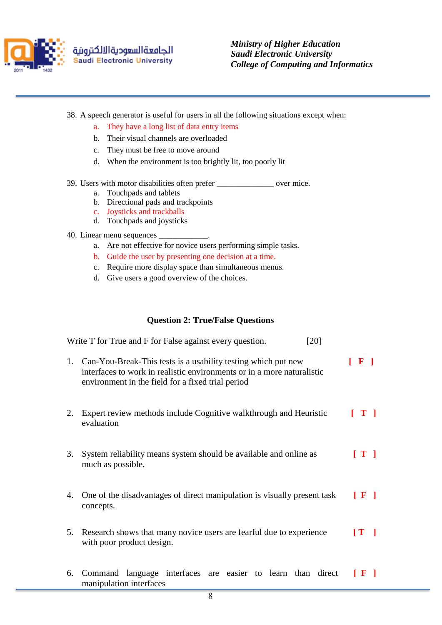

*Ministry of Higher Education Saudi Electronic University College of Computing and Informatics*

- 38. A speech generator is useful for users in all the following situations except when:
	- a. They have a long list of data entry items
	- b. Their visual channels are overloaded
	- c. They must be free to move around
	- d. When the environment is too brightly lit, too poorly lit
- 39. Users with motor disabilities often prefer over mice.
	- a. Touchpads and tablets
	- b. Directional pads and trackpoints
	- c. Joysticks and trackballs
	- d. Touchpads and joysticks
- 40. Linear menu sequences \_\_\_\_\_\_\_\_\_\_\_\_.
	- a. Are not effective for novice users performing simple tasks.
	- b. Guide the user by presenting one decision at a time.
	- c. Require more display space than simultaneous menus.
	- d. Give users a good overview of the choices.

#### **Question 2: True/False Questions**

|    | Write T for True and F for False against every question.<br>[20]                                                                                                                                |                                                |
|----|-------------------------------------------------------------------------------------------------------------------------------------------------------------------------------------------------|------------------------------------------------|
|    | 1. Can-You-Break-This tests is a usability testing which put new<br>interfaces to work in realistic environments or in a more naturalistic<br>environment in the field for a fixed trial period | $\begin{bmatrix} \quad \text{F} \end{bmatrix}$ |
| 2. | Expert review methods include Cognitive walkthrough and Heuristic<br>evaluation                                                                                                                 | $\lceil T \rceil$                              |
| 3. | System reliability means system should be available and online as<br>much as possible.                                                                                                          | $\Gamma$ T $\Gamma$                            |
|    | 4. One of the disadvantages of direct manipulation is visually present task<br>concepts.                                                                                                        | $\begin{bmatrix} \mathbf{F} \end{bmatrix}$     |
| 5. | Research shows that many novice users are fearful due to experience<br>with poor product design.                                                                                                | [T]                                            |
| 6. | Command language interfaces are easier to learn than direct<br>manipulation interfaces                                                                                                          | נו ו                                           |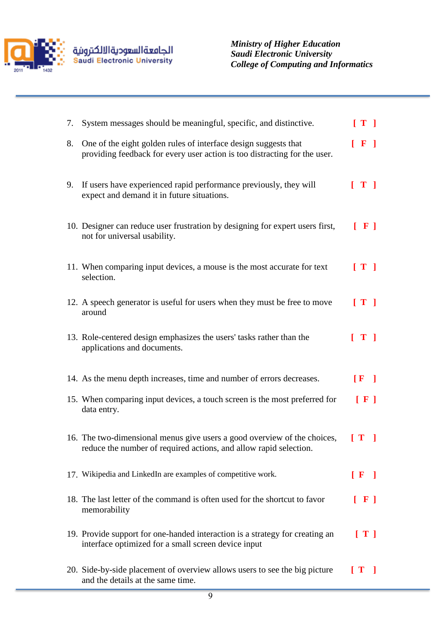

<mark>الجافعةالسعوديةالالكترونية</mark><br>Saudi Electronic University

*Ministry of Higher Education Saudi Electronic University College of Computing and Informatics*

| 7. | System messages should be meaningful, specific, and distinctive.                                                                              | $\lceil T \rceil$                              |
|----|-----------------------------------------------------------------------------------------------------------------------------------------------|------------------------------------------------|
| 8. | One of the eight golden rules of interface design suggests that<br>providing feedback for every user action is too distracting for the user.  | $\begin{bmatrix} \quad \text{R} \end{bmatrix}$ |
| 9. | If users have experienced rapid performance previously, they will<br>expect and demand it in future situations.                               | $\begin{bmatrix} T \end{bmatrix}$              |
|    | 10. Designer can reduce user frustration by designing for expert users first,<br>not for universal usability.                                 | $\mathbf{F}$ ]                                 |
|    | 11. When comparing input devices, a mouse is the most accurate for text<br>selection.                                                         | $\Gamma$ T $\Gamma$                            |
|    | 12. A speech generator is useful for users when they must be free to move<br>around                                                           | $\lceil T \rceil$                              |
|    | 13. Role-centered design emphasizes the users' tasks rather than the<br>applications and documents.                                           | $\Gamma$ T $\Gamma$                            |
|    | 14. As the menu depth increases, time and number of errors decreases.                                                                         | [F]                                            |
|    | 15. When comparing input devices, a touch screen is the most preferred for<br>data entry.                                                     | $\lceil F \rceil$                              |
|    | 16. The two-dimensional menus give users a good overview of the choices,<br>reduce the number of required actions, and allow rapid selection. | $\Gamma$<br>$\blacksquare$                     |
|    | 17. Wikipedia and LinkedIn are examples of competitive work.                                                                                  | $\begin{bmatrix} F \end{bmatrix}$              |
|    | 18. The last letter of the command is often used for the shortcut to favor<br>memorability                                                    | F <sub>1</sub>                                 |
|    | 19. Provide support for one-handed interaction is a strategy for creating an<br>interface optimized for a small screen device input           | [T]                                            |
|    | 20. Side-by-side placement of overview allows users to see the big picture<br>and the details at the same time.                               | $\begin{bmatrix} T \end{bmatrix}$              |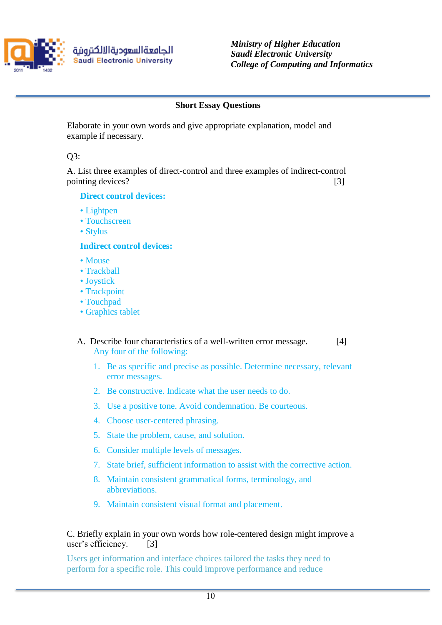

*Ministry of Higher Education Saudi Electronic University College of Computing and Informatics*

### **Short Essay Questions**

Elaborate in your own words and give appropriate explanation, model and example if necessary.

 $Q3$ :

A. List three examples of direct-control and three examples of indirect-control pointing devices? [3]

# **Direct control devices:**

- Lightpen
- Touchscreen
- Stylus

# **Indirect control devices:**

- Mouse
- Trackball
- Joystick
- Trackpoint
- Touchpad
- Graphics tablet
- A. Describe four characteristics of a well-written error message. [4] Any four of the following:
	- 1. Be as specific and precise as possible. Determine necessary, relevant error messages.
	- 2. Be constructive. Indicate what the user needs to do.
	- 3. Use a positive tone. Avoid condemnation. Be courteous.
	- 4. Choose user-centered phrasing.
	- 5. State the problem, cause, and solution.
	- 6. Consider multiple levels of messages.
	- 7. State brief, sufficient information to assist with the corrective action.
	- 8. Maintain consistent grammatical forms, terminology, and abbreviations.
	- 9. Maintain consistent visual format and placement.

# C. Briefly explain in your own words how role-centered design might improve a user's efficiency. [3]

Users get information and interface choices tailored the tasks they need to perform for a specific role. This could improve performance and reduce